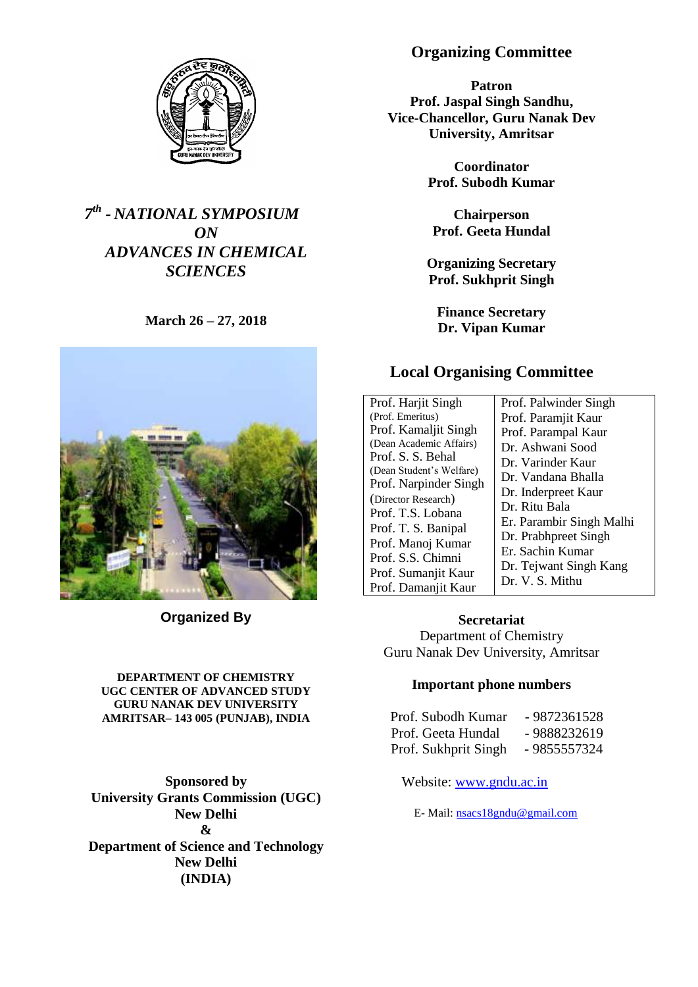

# *7 th - NATIONAL SYMPOSIUM ON ADVANCES IN CHEMICAL SCIENCES*

**March 26 – 27, 2018**



**Organized By**

#### **DEPARTMENT OF CHEMISTRY UGC CENTER OF ADVANCED STUDY GURU NANAK DEV UNIVERSITY AMRITSAR– 143 005 (PUNJAB), INDIA**

**Sponsored by University Grants Commission (UGC) New Delhi & Department of Science and Technology New Delhi (INDIA)**

# **Organizing Committee**

**Patron Prof. Jaspal Singh Sandhu, Vice-Chancellor, Guru Nanak Dev University, Amritsar**

> **Coordinator Prof. Subodh Kumar**

**Chairperson Prof. Geeta Hundal**

**Organizing Secretary Prof. Sukhprit Singh**

**Finance Secretary Dr. Vipan Kumar**

# **Local Organising Committee**

| Prof. Harjit Singh       | Prof. Palwinder Singh    |
|--------------------------|--------------------------|
| (Prof. Emeritus)         | Prof. Paramjit Kaur      |
| Prof. Kamaljit Singh     | Prof. Parampal Kaur      |
| (Dean Academic Affairs)  | Dr. Ashwani Sood         |
| Prof. S. S. Behal        | Dr. Varinder Kaur        |
| (Dean Student's Welfare) | Dr. Vandana Bhalla       |
| Prof. Narpinder Singh    | Dr. Inderpreet Kaur      |
| (Director Research)      | Dr. Ritu Bala            |
| Prof. T.S. Lobana        | Er. Parambir Singh Malhi |
| Prof. T. S. Banipal      | Dr. Prabhpreet Singh     |
| Prof. Manoj Kumar        | Er. Sachin Kumar         |
| Prof. S.S. Chimni        |                          |
| Prof. Sumanjit Kaur      | Dr. Tejwant Singh Kang   |
| Prof. Damaniit Kaur      | Dr. V. S. Mithu          |

**Secretariat** Department of Chemistry Guru Nanak Dev University, Amritsar

### **Important phone numbers**

| Prof. Subodh Kumar   | - 9872361528 |
|----------------------|--------------|
| Prof. Geeta Hundal   | - 9888232619 |
| Prof. Sukhprit Singh | - 9855557324 |

Website: [www.gndu.ac.in](http://www.gndu.ac.in/)

E- Mail: [nsacs18gndu@gmail.com](mailto:nsacs18gndu@gmail.com)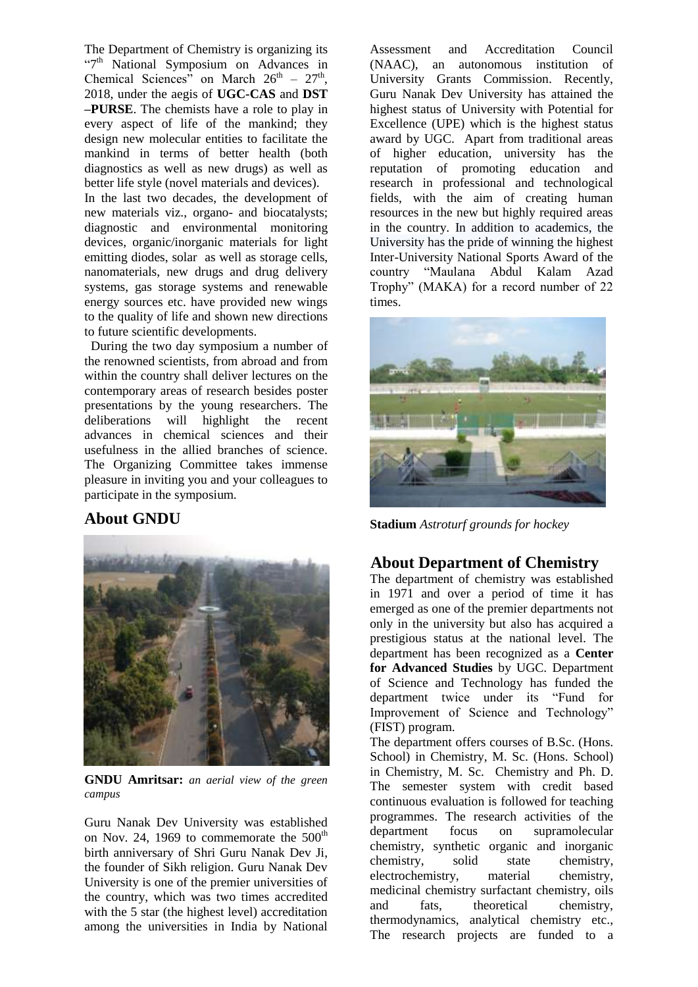The Department of Chemistry is organizing its "7<sup>th</sup> National Symposium on Advances in Chemical Sciences" on March  $26<sup>th</sup> - 27<sup>th</sup>$ , 2018, under the aegis of **UGC-CAS** and **DST –PURSE**. The chemists have a role to play in every aspect of life of the mankind; they design new molecular entities to facilitate the mankind in terms of better health (both diagnostics as well as new drugs) as well as better life style (novel materials and devices).

In the last two decades, the development of new materials viz., organo- and biocatalysts; diagnostic and environmental monitoring devices, organic/inorganic materials for light emitting diodes, solar as well as storage cells, nanomaterials, new drugs and drug delivery systems, gas storage systems and renewable energy sources etc. have provided new wings to the quality of life and shown new directions to future scientific developments.

 During the two day symposium a number of the renowned scientists, from abroad and from within the country shall deliver lectures on the contemporary areas of research besides poster presentations by the young researchers. The deliberations will highlight the recent advances in chemical sciences and their usefulness in the allied branches of science. The Organizing Committee takes immense pleasure in inviting you and your colleagues to participate in the symposium.

# **About GNDU**



**GNDU Amritsar:** *an aerial view of the green campus*

Guru Nanak Dev University was established on Nov. 24, 1969 to commemorate the  $500<sup>th</sup>$ birth anniversary of Shri Guru Nanak Dev Ji, the founder of Sikh religion. Guru Nanak Dev University is one of the premier universities of the country, which was two times accredited with the 5 star (the highest level) accreditation among the universities in India by National

Assessment and Accreditation Council (NAAC), an autonomous institution of University Grants Commission. Recently, Guru Nanak Dev University has attained the highest status of University with Potential for Excellence (UPE) which is the highest status award by UGC. Apart from traditional areas of higher education, university has the reputation of promoting education and research in professional and technological fields, with the aim of creating human resources in the new but highly required areas in the country. In addition to academics, the University has the pride of winning the highest Inter-University National Sports Award of the country "Maulana Abdul Kalam Azad Trophy" (MAKA) for a record number of 22 times.



**Stadium** *Astroturf grounds for hockey*

### **About Department of Chemistry**

The department of chemistry was established in 1971 and over a period of time it has emerged as one of the premier departments not only in the university but also has acquired a prestigious status at the national level. The department has been recognized as a **Center for Advanced Studies** by UGC. Department of Science and Technology has funded the department twice under its "Fund for Improvement of Science and Technology" (FIST) program.

The department offers courses of B.Sc. (Hons. School) in Chemistry, M. Sc. (Hons. School) in Chemistry, M. Sc. Chemistry and Ph. D. The semester system with credit based continuous evaluation is followed for teaching programmes. The research activities of the department focus on supramolecular chemistry, synthetic organic and inorganic chemistry, solid state chemistry, electrochemistry, material chemistry, medicinal chemistry surfactant chemistry, oils and fats, theoretical chemistry, thermodynamics, analytical chemistry etc., The research projects are funded to a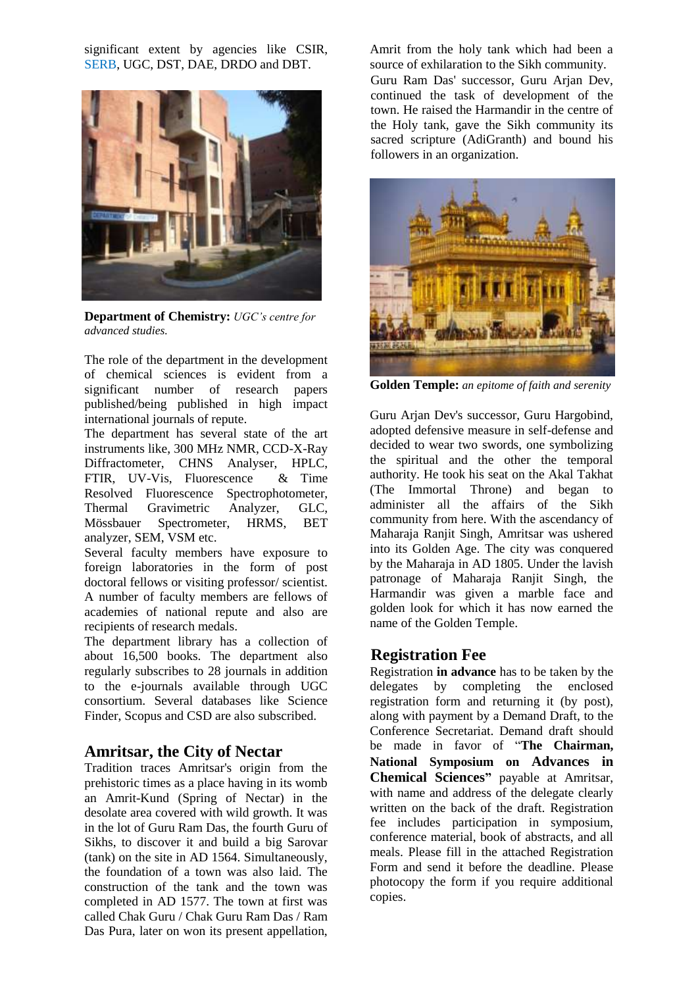significant extent by agencies like CSIR, SERB, UGC, DST, DAE, DRDO and DBT.



**Department of Chemistry:** *UGC's centre for advanced studies.*

The role of the department in the development of chemical sciences is evident from a significant number of research papers published/being published in high impact international journals of repute.

The department has several state of the art instruments like, 300 MHz NMR, CCD-X-Ray Diffractometer, CHNS Analyser, HPLC, FTIR, UV-Vis, Fluorescence & Time Resolved Fluorescence Spectrophotometer, Thermal Gravimetric Analyzer, GLC, Mössbauer Spectrometer, HRMS, BET analyzer, SEM, VSM etc.

Several faculty members have exposure to foreign laboratories in the form of post doctoral fellows or visiting professor/ scientist. A number of faculty members are fellows of academies of national repute and also are recipients of research medals.

The department library has a collection of about 16,500 books. The department also regularly subscribes to 28 journals in addition to the e-journals available through UGC consortium. Several databases like Science Finder, Scopus and CSD are also subscribed.

### **Amritsar, the City of Nectar**

Tradition traces Amritsar's origin from the prehistoric times as a place having in its womb an Amrit-Kund (Spring of Nectar) in the desolate area covered with wild growth. It was in the lot of Guru Ram Das, the fourth Guru of Sikhs, to discover it and build a big Sarovar (tank) on the site in AD 1564. Simultaneously, the foundation of a town was also laid. The construction of the tank and the town was completed in AD 1577. The town at first was called Chak Guru / Chak Guru Ram Das / Ram Das Pura, later on won its present appellation, Amrit from the holy tank which had been a source of exhilaration to the Sikh community. Guru Ram Das' successor, Guru Arjan Dev, continued the task of development of the town. He raised the Harmandir in the centre of the Holy tank, gave the Sikh community its sacred scripture (AdiGranth) and bound his followers in an organization.



**Golden Temple:** *an epitome of faith and serenity*

Guru Arjan Dev's successor, Guru Hargobind, adopted defensive measure in self-defense and decided to wear two swords, one symbolizing the spiritual and the other the temporal authority. He took his seat on the Akal Takhat (The Immortal Throne) and began to administer all the affairs of the Sikh community from here. With the ascendancy of Maharaja Ranjit Singh, Amritsar was ushered into its Golden Age. The city was conquered by the Maharaja in AD 1805. Under the lavish patronage of Maharaja Ranjit Singh, the Harmandir was given a marble face and golden look for which it has now earned the name of the Golden Temple.

# **Registration Fee**

Registration **in advance** has to be taken by the delegates by completing the enclosed registration form and returning it (by post), along with payment by a Demand Draft, to the Conference Secretariat. Demand draft should be made in favor of "**The Chairman, National Symposium on Advances in Chemical Sciences"** payable at Amritsar, with name and address of the delegate clearly written on the back of the draft. Registration fee includes participation in symposium, conference material, book of abstracts, and all meals. Please fill in the attached Registration Form and send it before the deadline. Please photocopy the form if you require additional copies.